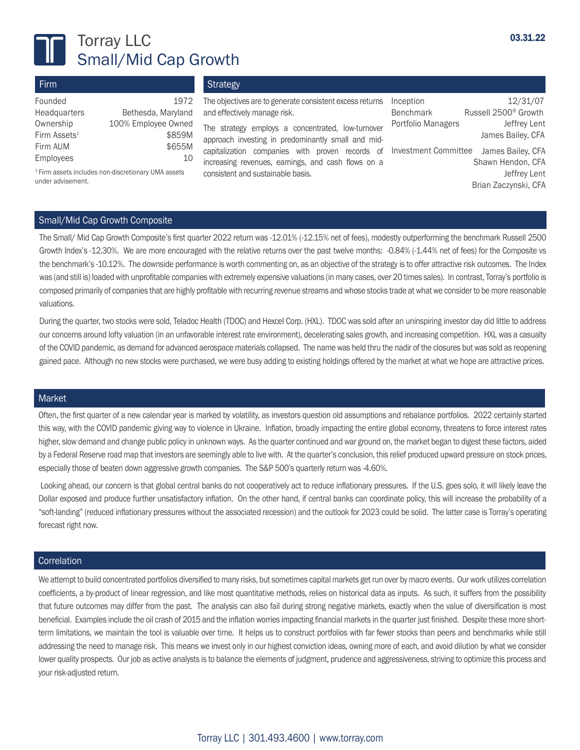

# Torray LLC Small/Mid Cap Growth

| Firm                     |                     |
|--------------------------|---------------------|
| Founded                  | 1972                |
| Headquarters             | Bethesda, Maryland  |
| Ownership                | 100% Employee Owned |
| Firm Assets <sup>1</sup> | \$859M              |
| Firm AUM                 | \$655M              |
| Employees                |                     |

**Strategy** 

The objectives are to generate consistent excess returns Inception and effectively manage risk.

The strategy employs a concentrated, low-turnover Firm Assets<sup>1</sup> S859M approach investing in predominantly small and midcapitalization companies with proven records of increasing revenues, earnings, and cash flows on a consistent and sustainable basis.

Inception 12/31/07 Benchmark Russell 2500® Growth Portfolio Managers **Jeffrey Lent**  James Bailey, CFA Investment Committee James Bailey, CFA Shawn Hendon, CFA Jeffrey Lent Brian Zaczynski, CFA

1 Firm assets includes non-discretionary UMA assets under advisement.

## Small/Mid Cap Growth Composite

The Small/ Mid Cap Growth Composite's first quarter 2022 return was -12.01% (-12.15% net of fees), modestly outperforming the benchmark Russell 2500 Growth Index's -12.30%. We are more encouraged with the relative returns over the past twelve months: -0.84% (-1.44% net of fees) for the Composite vs the benchmark's -10.12%. The downside performance is worth commenting on, as an objective of the strategy is to offer attractive risk outcomes. The Index was (and still is) loaded with unprofitable companies with extremely expensive valuations (in many cases, over 20 times sales). In contrast, Torray's portfolio is composed primarily of companies that are highly profitable with recurring revenue streams and whose stocks trade at what we consider to be more reasonable valuations.

During the quarter, two stocks were sold, Teladoc Health (TDOC) and Hexcel Corp. (HXL). TDOC was sold after an uninspiring investor day did little to address our concerns around lofty valuation (in an unfavorable interest rate environment), decelerating sales growth, and increasing competition. HXL was a casualty of the COVID pandemic, as demand for advanced aerospace materials collapsed. The name was held thru the nadir of the closures but was sold as reopening gained pace. Although no new stocks were purchased, we were busy adding to existing holdings offered by the market at what we hope are attractive prices.

#### Market

Often, the first quarter of a new calendar year is marked by volatility, as investors question old assumptions and rebalance portfolios. 2022 certainly started this way, with the COVID pandemic giving way to violence in Ukraine. Inflation, broadly impacting the entire global economy, threatens to force interest rates higher, slow demand and change public policy in unknown ways. As the quarter continued and war ground on, the market began to digest these factors, aided by a Federal Reserve road map that investors are seemingly able to live with. At the quarter's conclusion, this relief produced upward pressure on stock prices, especially those of beaten down aggressive growth companies. The S&P 500's quarterly return was -4.60%.

Looking ahead, our concern is that global central banks do not cooperatively act to reduce inflationary pressures. If the U.S. goes solo, it will likely leave the Dollar exposed and produce further unsatisfactory inflation. On the other hand, if central banks can coordinate policy, this will increase the probability of a "soft-landing" (reduced inflationary pressures without the associated recession) and the outlook for 2023 could be solid. The latter case is Torray's operating forecast right now.

#### **Correlation**

We attempt to build concentrated portfolios diversified to many risks, but sometimes capital markets get run over by macro events. Our work utilizes correlation coefficients, a by-product of linear regression, and like most quantitative methods, relies on historical data as inputs. As such, it suffers from the possibility that future outcomes may differ from the past. The analysis can also fail during strong negative markets, exactly when the value of diversification is most beneficial. Examples include the oil crash of 2015 and the inflation worries impacting financial markets in the quarter just finished. Despite these more shortterm limitations, we maintain the tool is valuable over time. It helps us to construct portfolios with far fewer stocks than peers and benchmarks while still addressing the need to manage risk. This means we invest only in our highest conviction ideas, owning more of each, and avoid dilution by what we consider lower quality prospects. Our job as active analysts is to balance the elements of judgment, prudence and aggressiveness, striving to optimize this process and your risk-adjusted return.